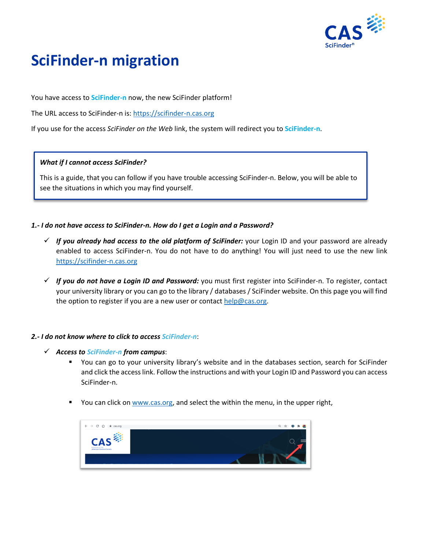

# **SciFinder-n migration**

You have access to **SciFinder-n** now, the new SciFinder platform!

The URL access to SciFinder-n is: [https://scifinder-n.cas.org](https://scifinder-n.cas.org/)

If you use for the access *SciFinder on the Web* link, the system will redirect you to **SciFinder-n**.

#### *What if I cannot access SciFinder?*

This is a guide, that you can follow if you have trouble accessing SciFinder-n. Below, you will be able to see the situations in which you may find yourself.

## *1.- I do not have access to SciFinder-n. How do I get a Login and a Password?*

- ✓ *If you already had access to the old platform of SciFinder:* your Login ID and your password are already enabled to access SciFinder-n. You do not have to do anything! You will just need to use the new link [https://scifinder-n.cas.org](https://scifinder-n.cas.org/)
- ✓ *If you do not have a Login ID and Password:* you must first register into SciFinder-n. To register, contact your university library or you can go to the library / databases / SciFinder website. On this page you will find the option to register if you are a new user or contact  $help@cas.org$ .

## *2.- I do not know where to click to access SciFinder-n*:

- ✓ *Access to SciFinder-n from campus*:
	- You can go to your university library's website and in the databases section, search for SciFinder and click the access link. Follow the instructions and with your Login ID and Password you can access SciFinder-n.
	- You can click on [www.cas.org,](http://www.cas.org/) and select the within the menu, in the upper right,

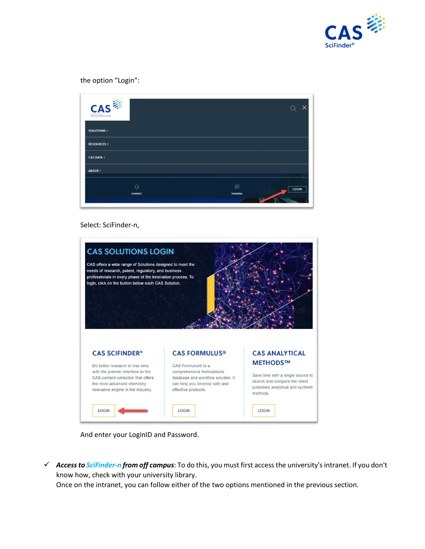

the option "Login":

| CAS<br>A division of the<br>American Chemical Society |                                       |
|-------------------------------------------------------|---------------------------------------|
| SOLUTIONS -                                           |                                       |
| <b>RESOURCES +</b>                                    |                                       |
| <b>CAS DATA +</b>                                     |                                       |
| <b>ABOUT +</b>                                        |                                       |
| $\Omega$<br><b>CONTACT</b>                            | 8골<br><b>LOGIN</b><br><b>TRAINING</b> |

#### Select: SciFinder-n,



And enter your LoginID and Password.

✓ *Access to SciFinder-n from off campus*: To do this, you must first access the university's intranet. If you don't know how, check with your university library.

Once on the intranet, you can follow either of the two options mentioned in the previous section.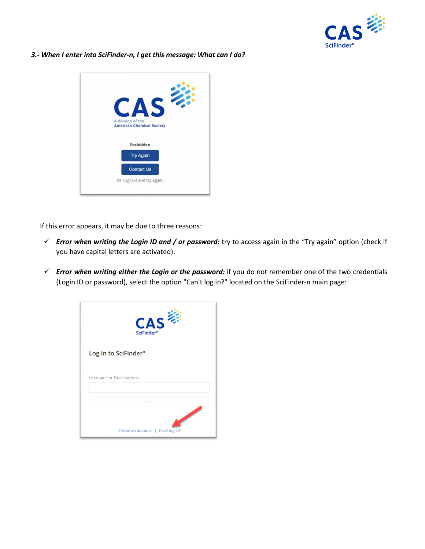

*3.- When I enter into SciFinder-n, I get this message: What can I do?*



If this error appears, it may be due to three reasons:

- ✓ *Error when writing the Login ID and / or password:* try to access again in the "Try again" option (check if you have capital letters are activated).
- ✓ *Error when writing either the Login or the password:* if you do not remember one of the two credentials (Login ID or password), select the option "Can't log in?" located on the SciFinder-n main page:

| <b>CAS</b><br>SciFinder <sup>n</sup> |
|--------------------------------------|
| Log In to SciFinder <sup>n</sup>     |
| Username or Email Address            |
| Next                                 |
| Create an account.   Can't log in?   |